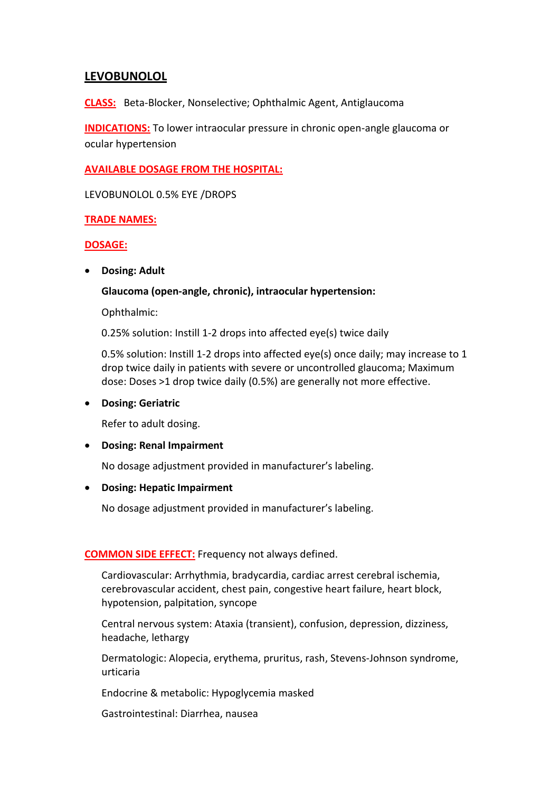# **LEVOBUNOLOL**

**CLASS:** Beta-Blocker, Nonselective; Ophthalmic Agent, Antiglaucoma

**INDICATIONS:** To lower intraocular pressure in chronic open-angle glaucoma or ocular hypertension

## **AVAILABLE DOSAGE FROM THE HOSPITAL:**

LEVOBUNOLOL 0.5% EYE /DROPS

## **TRADE NAMES:**

## **DOSAGE:**

**Dosing: Adult**

## **Glaucoma (open-angle, chronic), intraocular hypertension:**

Ophthalmic:

0.25% solution: Instill 1-2 drops into affected eye(s) twice daily

0.5% solution: Instill 1-2 drops into affected eye(s) once daily; may increase to 1 drop twice daily in patients with severe or uncontrolled glaucoma; Maximum dose: Doses >1 drop twice daily (0.5%) are generally not more effective.

### **Dosing: Geriatric**

Refer to adult dosing.

### **Dosing: Renal Impairment**

No dosage adjustment provided in manufacturer's labeling.

### **Dosing: Hepatic Impairment**

No dosage adjustment provided in manufacturer's labeling.

### **COMMON SIDE EFFECT:** Frequency not always defined.

Cardiovascular: Arrhythmia, bradycardia, cardiac arrest cerebral ischemia, cerebrovascular accident, chest pain, congestive heart failure, heart block, hypotension, palpitation, syncope

Central nervous system: Ataxia (transient), confusion, depression, dizziness, headache, lethargy

Dermatologic: Alopecia, erythema, pruritus, rash, Stevens-Johnson syndrome, urticaria

Endocrine & metabolic: Hypoglycemia masked

Gastrointestinal: Diarrhea, nausea